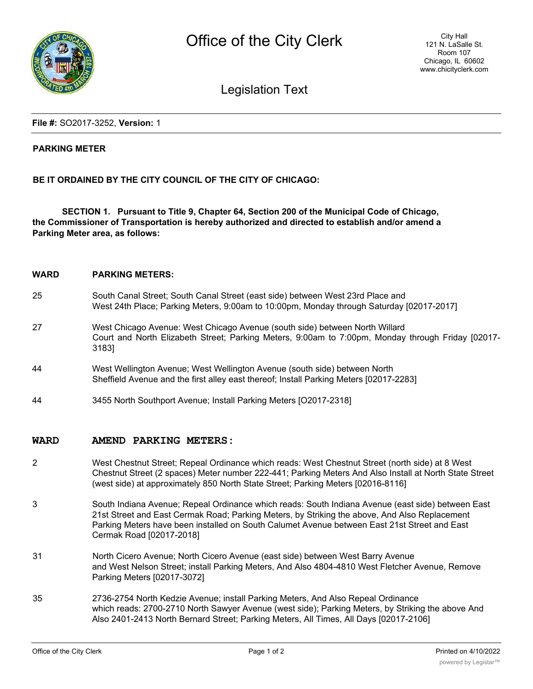

# Legislation Text

**File #:** SO2017-3252, **Version:** 1

### **PARKING METER**

## **BE IT ORDAINED BY THE CITY COUNCIL OF THE CITY OF CHICAGO:**

**SECTION 1. Pursuant to Title 9, Chapter 64, Section 200 of the Municipal Code of Chicago, the Commissioner of Transportation is hereby authorized and directed to establish and/or amend a Parking Meter area, as follows:**

| <b>WARD</b> | <b>PARKING METERS:</b>                                                                                                                                                                    |
|-------------|-------------------------------------------------------------------------------------------------------------------------------------------------------------------------------------------|
| 25          | South Canal Street; South Canal Street (east side) between West 23rd Place and<br>West 24th Place; Parking Meters, 9:00am to 10:00pm, Monday through Saturday [02017-2017]                |
| 27          | West Chicago Avenue: West Chicago Avenue (south side) between North Willard<br>Court and North Elizabeth Street; Parking Meters, 9:00am to 7:00pm, Monday through Friday [02017-<br>3183] |
| 44          | West Wellington Avenue; West Wellington Avenue (south side) between North<br>Sheffield Avenue and the first alley east thereof; Install Parking Meters [02017-2283]                       |
| 44          | 3455 North Southport Avenue; Install Parking Meters [O2017-2318]                                                                                                                          |

#### **WARD AMEND PARKING METERS:**

- 2 West Chestnut Street; Repeal Ordinance which reads: West Chestnut Street (north side) at 8 West Chestnut Street (2 spaces) Meter number 222-441; Parking Meters And Also Install at North State Street (west side) at approximately 850 North State Street; Parking Meters [02016-8116]
- 3 South Indiana Avenue; Repeal Ordinance which reads: South Indiana Avenue (east side) between East 21st Street and East Cermak Road; Parking Meters, by Striking the above, And Also Replacement Parking Meters have been installed on South Calumet Avenue between East 21st Street and East Cermak Road [02017-2018]
- 31 North Cicero Avenue; North Cicero Avenue (east side) between West Barry Avenue and West Nelson Street; install Parking Meters, And Also 4804-4810 West Fletcher Avenue, Remove Parking Meters [02017-3072]
- 35 2736-2754 North Kedzie Avenue; install Parking Meters, And Also Repeal Ordinance which reads: 2700-2710 North Sawyer Avenue (west side); Parking Meters, by Striking the above And Also 2401-2413 North Bernard Street; Parking Meters, All Times, All Days [02017-2106]